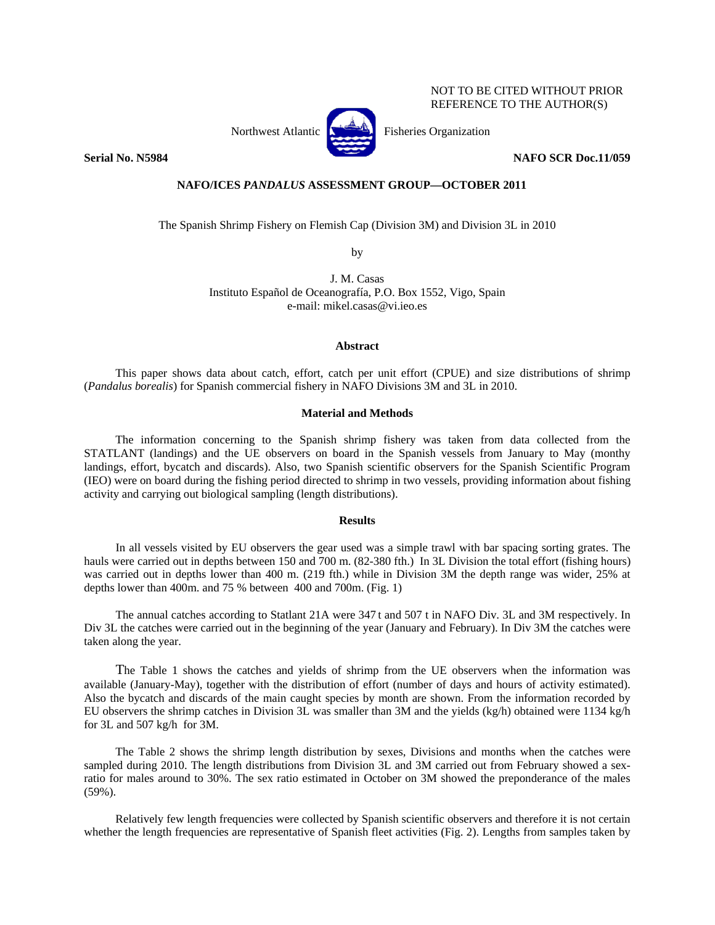NOT TO BE CITED WITHOUT PRIOR REFERENCE TO THE AUTHOR(S)



**Serial No. N5984** NAFO SCR Doc.11/059

## **NAFO/ICES** *PANDALUS* **ASSESSMENT GROUP—OCTOBER 2011**

The Spanish Shrimp Fishery on Flemish Cap (Division 3M) and Division 3L in 2010

by

J. M. Casas Instituto Español de Oceanografía, P.O. Box 1552, Vigo, Spain e-mail: mikel.casas@vi.ieo.es

## **Abstract**

This paper shows data about catch, effort, catch per unit effort (CPUE) and size distributions of shrimp (*Pandalus borealis*) for Spanish commercial fishery in NAFO Divisions 3M and 3L in 2010.

## **Material and Methods**

The information concerning to the Spanish shrimp fishery was taken from data collected from the STATLANT (landings) and the UE observers on board in the Spanish vessels from January to May (monthy landings, effort, bycatch and discards). Also, two Spanish scientific observers for the Spanish Scientific Program (IEO) were on board during the fishing period directed to shrimp in two vessels, providing information about fishing activity and carrying out biological sampling (length distributions).

## **Results**

In all vessels visited by EU observers the gear used was a simple trawl with bar spacing sorting grates. The hauls were carried out in depths between 150 and 700 m. (82-380 fth.) In 3L Division the total effort (fishing hours) was carried out in depths lower than 400 m. (219 fth.) while in Division 3M the depth range was wider, 25% at depths lower than 400m. and 75 % between 400 and 700m. (Fig. 1)

The annual catches according to Statlant 21A were 347 t and 507 t in NAFO Div. 3L and 3M respectively. In Div 3L the catches were carried out in the beginning of the year (January and February). In Div 3M the catches were taken along the year.

The Table 1 shows the catches and yields of shrimp from the UE observers when the information was available (January-May), together with the distribution of effort (number of days and hours of activity estimated). Also the bycatch and discards of the main caught species by month are shown. From the information recorded by EU observers the shrimp catches in Division 3L was smaller than 3M and the yields (kg/h) obtained were 1134 kg/h for 3L and 507 kg/h for 3M.

The Table 2 shows the shrimp length distribution by sexes, Divisions and months when the catches were sampled during 2010. The length distributions from Division 3L and 3M carried out from February showed a sexratio for males around to 30%. The sex ratio estimated in October on 3M showed the preponderance of the males (59%).

Relatively few length frequencies were collected by Spanish scientific observers and therefore it is not certain whether the length frequencies are representative of Spanish fleet activities (Fig. 2). Lengths from samples taken by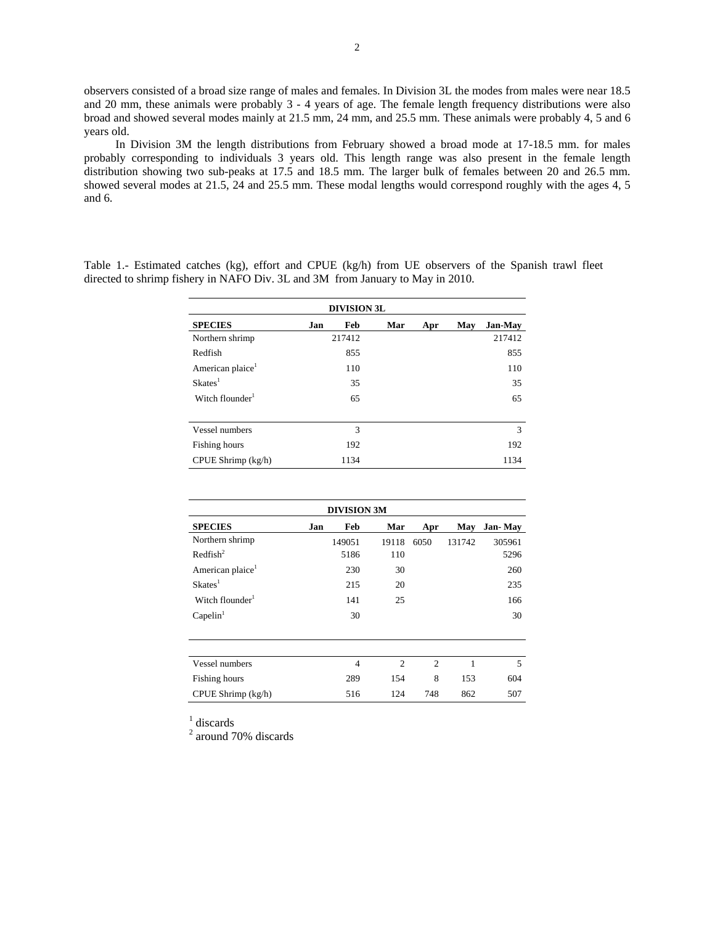observers consisted of a broad size range of males and females. In Division 3L the modes from males were near 18.5 and 20 mm, these animals were probably 3 - 4 years of age. The female length frequency distributions were also broad and showed several modes mainly at 21.5 mm, 24 mm, and 25.5 mm. These animals were probably 4, 5 and 6 years old.

In Division 3M the length distributions from February showed a broad mode at 17-18.5 mm. for males probably corresponding to individuals 3 years old. This length range was also present in the female length distribution showing two sub-peaks at 17.5 and 18.5 mm. The larger bulk of females between 20 and 26.5 mm. showed several modes at 21.5, 24 and 25.5 mm. These modal lengths would correspond roughly with the ages 4, 5 and 6.

| <b>DIVISION 3L</b>           |     |        |     |     |     |         |  |  |
|------------------------------|-----|--------|-----|-----|-----|---------|--|--|
| <b>SPECIES</b>               | Jan | Feb    | Mar | Apr | May | Jan-May |  |  |
| Northern shrimp              |     | 217412 |     |     |     | 217412  |  |  |
| Redfish                      |     | 855    |     |     |     | 855     |  |  |
| American plaice <sup>1</sup> |     | 110    |     |     |     | 110     |  |  |
| Skates <sup>1</sup>          |     | 35     |     |     |     | 35      |  |  |
| Witch flounder <sup>1</sup>  |     | 65     |     |     |     | 65      |  |  |
|                              |     |        |     |     |     |         |  |  |
| Vessel numbers               |     | 3      |     |     |     | 3       |  |  |
| Fishing hours                |     | 192    |     |     |     | 192     |  |  |
| CPUE Shrimp (kg/h)           |     | 1134   |     |     |     | 1134    |  |  |

Table 1.- Estimated catches (kg), effort and CPUE (kg/h) from UE observers of the Spanish trawl fleet directed to shrimp fishery in NAFO Div. 3L and 3M from January to May in 2010.

| <b>DIVISION 3M</b>           |     |        |                |      |        |         |  |  |
|------------------------------|-----|--------|----------------|------|--------|---------|--|--|
| <b>SPECIES</b>               | Jan | Feb    | Mar            | Apr  | May    | Jan-May |  |  |
| Northern shrimp              |     | 149051 | 19118          | 6050 | 131742 | 305961  |  |  |
| $\text{Redfish}^2$           |     | 5186   | 110            |      |        | 5296    |  |  |
| American plaice <sup>1</sup> |     | 230    | 30             |      |        | 260     |  |  |
| Skates <sup>1</sup>          |     | 215    | 20             |      |        | 235     |  |  |
| Witch flounder <sup>1</sup>  |     | 141    | 25             |      |        | 166     |  |  |
| Capelin <sup>1</sup>         |     | 30     |                |      |        | 30      |  |  |
|                              |     |        |                |      |        |         |  |  |
|                              |     |        |                |      |        |         |  |  |
| Vessel numbers               |     | 4      | $\overline{2}$ | 2    | 1      | 5       |  |  |
| Fishing hours                |     | 289    | 154            | 8    | 153    | 604     |  |  |
| CPUE Shrimp (kg/h)           |     | 516    | 124            | 748  | 862    | 507     |  |  |

<sup>1</sup> discards

2 around 70% discards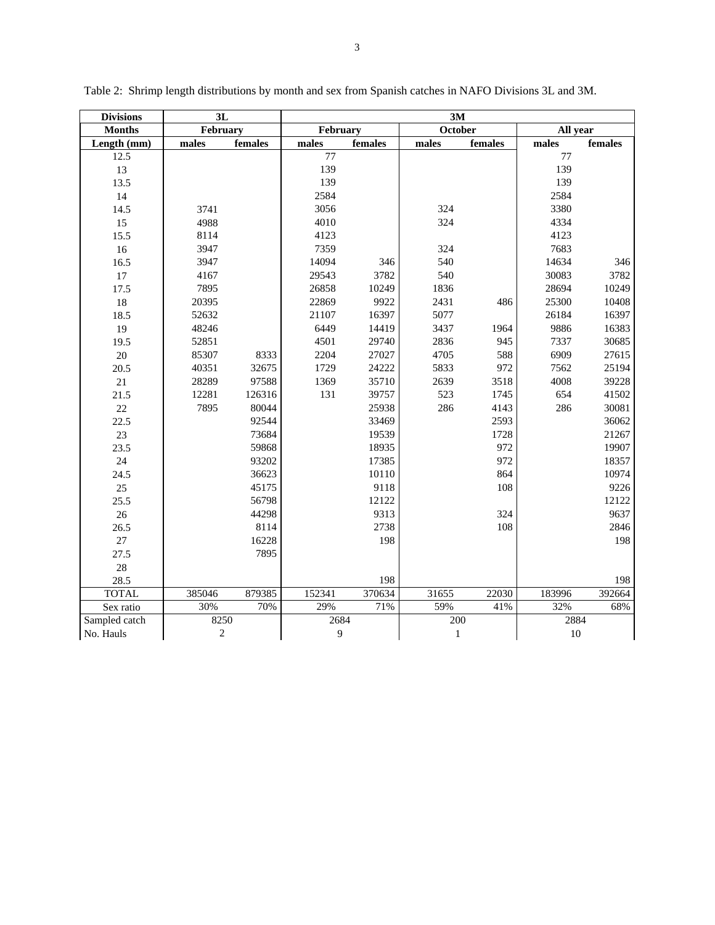| <b>Divisions</b> |                | 3L       |        |          | 3M           |         |          |         |
|------------------|----------------|----------|--------|----------|--------------|---------|----------|---------|
| <b>Months</b>    |                | February |        | February |              | October | All year |         |
| Length (mm)      | males          | females  | males  | females  | males        | females | males    | females |
| 12.5             |                |          | 77     |          |              |         | 77       |         |
| 13               |                |          | 139    |          |              |         | 139      |         |
| 13.5             |                |          | 139    |          |              |         | 139      |         |
| 14               |                |          | 2584   |          |              |         | 2584     |         |
| 14.5             | 3741           |          | 3056   |          | 324          |         | 3380     |         |
| 15               | 4988           |          | 4010   |          | 324          |         | 4334     |         |
| 15.5             | 8114           |          | 4123   |          |              |         | 4123     |         |
| 16               | 3947           |          | 7359   |          | 324          |         | 7683     |         |
| 16.5             | 3947           |          | 14094  | 346      | 540          |         | 14634    | 346     |
| 17               | 4167           |          | 29543  | 3782     | 540          |         | 30083    | 3782    |
| 17.5             | 7895           |          | 26858  | 10249    | 1836         |         | 28694    | 10249   |
| 18               | 20395          |          | 22869  | 9922     | 2431         | 486     | 25300    | 10408   |
| 18.5             | 52632          |          | 21107  | 16397    | 5077         |         | 26184    | 16397   |
| 19               | 48246          |          | 6449   | 14419    | 3437         | 1964    | 9886     | 16383   |
| 19.5             | 52851          |          | 4501   | 29740    | 2836         | 945     | 7337     | 30685   |
| 20               | 85307          | 8333     | 2204   | 27027    | 4705         | 588     | 6909     | 27615   |
| 20.5             | 40351          | 32675    | 1729   | 24222    | 5833         | 972     | 7562     | 25194   |
| 21               | 28289          | 97588    | 1369   | 35710    | 2639         | 3518    | 4008     | 39228   |
| 21.5             | 12281          | 126316   | 131    | 39757    | 523          | 1745    | 654      | 41502   |
| $22\,$           | 7895           | 80044    |        | 25938    | 286          | 4143    | 286      | 30081   |
| 22.5             |                | 92544    |        | 33469    |              | 2593    |          | 36062   |
| 23               |                | 73684    |        | 19539    |              | 1728    |          | 21267   |
| 23.5             |                | 59868    |        | 18935    |              | 972     |          | 19907   |
| 24               |                | 93202    |        | 17385    |              | 972     |          | 18357   |
| 24.5             |                | 36623    |        | 10110    |              | 864     |          | 10974   |
| 25               |                | 45175    |        | 9118     |              | 108     |          | 9226    |
| 25.5             |                | 56798    |        | 12122    |              |         |          | 12122   |
| 26               |                | 44298    |        | 9313     |              | 324     |          | 9637    |
| 26.5             |                | 8114     |        | 2738     |              | 108     |          | 2846    |
| 27               |                | 16228    |        | 198      |              |         |          | 198     |
| 27.5             |                | 7895     |        |          |              |         |          |         |
| 28               |                |          |        |          |              |         |          |         |
| 28.5             |                |          |        | 198      |              |         |          | 198     |
| <b>TOTAL</b>     | 385046         | 879385   | 152341 | 370634   | 31655        | 22030   | 183996   | 392664  |
| Sex ratio        | 30%            | 70%      | 29%    | 71%      | 59%          | 41%     | 32%      | 68%     |
| Sampled catch    | 8250           |          | 2684   |          | 200          |         | 2884     |         |
| No. Hauls        | $\overline{2}$ |          | 9      |          | $\mathbf{1}$ |         | $10\,$   |         |

Table 2: Shrimp length distributions by month and sex from Spanish catches in NAFO Divisions 3L and 3M.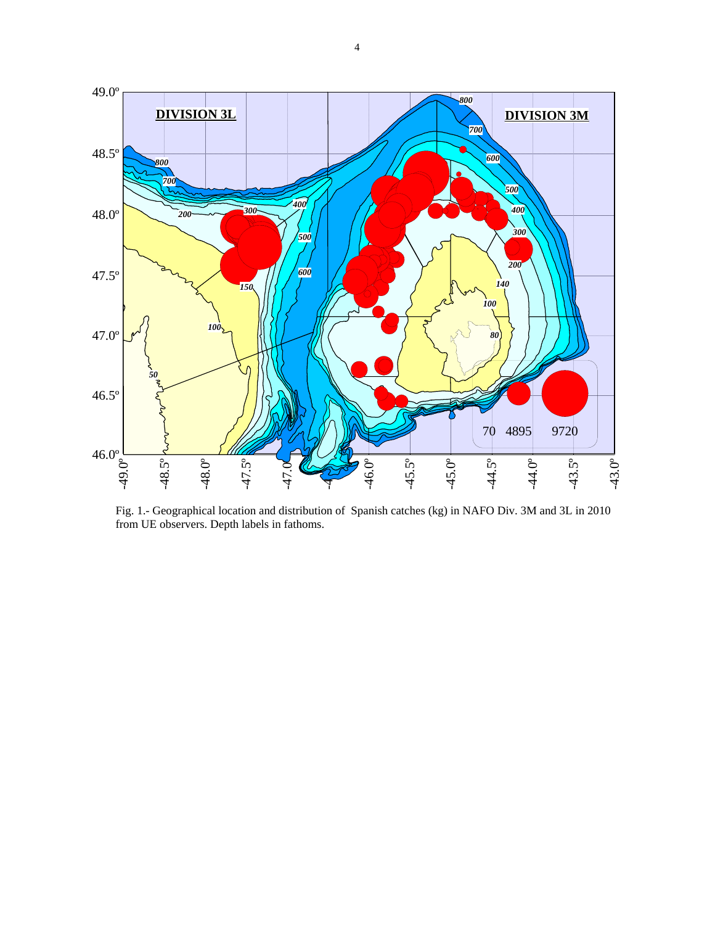

Fig. 1.- Geographical location and distribution of Spanish catches (kg) in NAFO Div. 3M and 3L in 2010